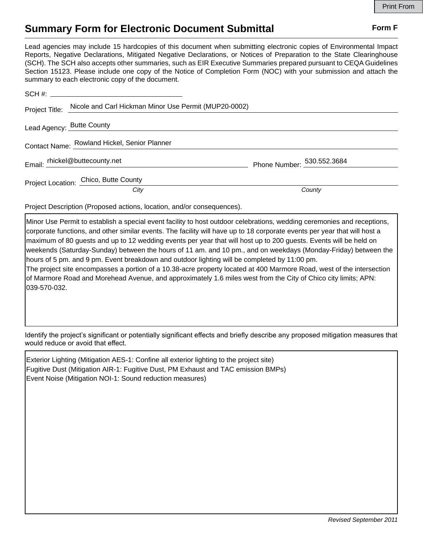## **Summary Form for Electronic Document Submittal Form F Form F**

Lead agencies may include 15 hardcopies of this document when submitting electronic copies of Environmental Impact Reports, Negative Declarations, Mitigated Negative Declarations, or Notices of Preparation to the State Clearinghouse (SCH). The SCH also accepts other summaries, such as EIR Executive Summaries prepared pursuant to CEQA Guidelines Section 15123. Please include one copy of the Notice of Completion Form (NOC) with your submission and attach the summary to each electronic copy of the document.

|                                              | Project Title: Nicole and Carl Hickman Minor Use Permit (MUP20-0002) |                            |
|----------------------------------------------|----------------------------------------------------------------------|----------------------------|
|                                              | Lead Agency: Butte County                                            |                            |
| Contact Name: Rowland Hickel, Senior Planner |                                                                      |                            |
|                                              | Email: rhickel@buttecounty.net                                       | Phone Number: 530.552.3684 |
|                                              | Project Location: Chico, Butte County                                |                            |
|                                              | City                                                                 | County                     |

Project Description (Proposed actions, location, and/or consequences).

Minor Use Permit to establish a special event facility to host outdoor celebrations, wedding ceremonies and receptions, corporate functions, and other similar events. The facility will have up to 18 corporate events per year that will host a maximum of 80 guests and up to 12 wedding events per year that will host up to 200 guests. Events will be held on weekends (Saturday-Sunday) between the hours of 11 am. and 10 pm., and on weekdays (Monday-Friday) between the hours of 5 pm. and 9 pm. Event breakdown and outdoor lighting will be completed by 11:00 pm. The project site encompasses a portion of a 10.38-acre property located at 400 Marmore Road, west of the intersection of Marmore Road and Morehead Avenue, and approximately 1.6 miles west from the City of Chico city limits; APN:

039-570-032.

Identify the project's significant or potentially significant effects and briefly describe any proposed mitigation measures that would reduce or avoid that effect.

Exterior Lighting (Mitigation AES-1: Confine all exterior lighting to the project site) Fugitive Dust (Mitigation AIR-1: Fugitive Dust, PM Exhaust and TAC emission BMPs) Event Noise (Mitigation NOI-1: Sound reduction measures)